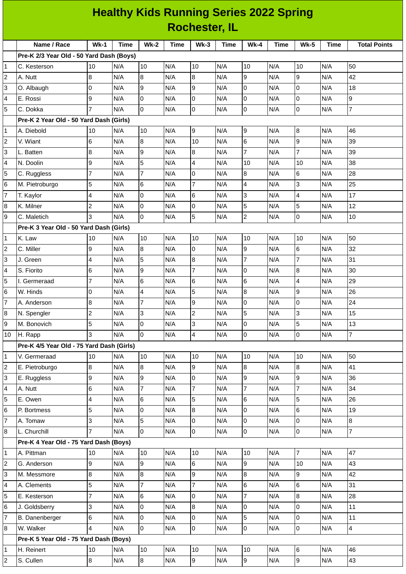## **Healthy Kids Running Series 2022 Spring Rochester, IL**

|                | Name / Race                               | $Wk-1$         | <b>Time</b> | <b>Wk-2</b>    | <b>Time</b> | $Wk-3$                  | <b>Time</b> | $Wk-4$          | <b>Time</b> | <b>Wk-5</b>    | <b>Time</b> | <b>Total Points</b> |
|----------------|-------------------------------------------|----------------|-------------|----------------|-------------|-------------------------|-------------|-----------------|-------------|----------------|-------------|---------------------|
|                | Pre-K 2/3 Year Old - 50 Yard Dash (Boys)  |                |             |                |             |                         |             |                 |             |                |             |                     |
| 1              | C. Kesterson                              | 10             | N/A         | 10             | N/A         | 10                      | N/A         | 10              | N/A         | 10             | N/A         | 50                  |
| 2              | A. Nutt                                   | 8              | N/A         | 8              | N/A         | 8                       | N/A         | 9               | N/A         | 9              | N/A         | 42                  |
| 3              | O. Albaugh                                | 0              | N/A         | 9              | N/A         | 9                       | N/A         | 0               | N/A         | 0              | N/A         | 18                  |
| 4              | E. Rossi                                  | 9              | N/A         | 0              | N/A         | $\overline{0}$          | N/A         | 0               | N/A         | 0              | N/A         | 9                   |
| 5              | C. Dokka                                  | 7              | N/A         | $\overline{0}$ | N/A         | l0                      | N/A         | 0               | N/A         | 0              | N/A         | 7                   |
|                | Pre-K 2 Year Old - 50 Yard Dash (Girls)   |                |             |                |             |                         |             |                 |             |                |             |                     |
| 1              | A. Diebold                                | 10             | N/A         | 10             | N/A         | 9                       | N/A         | 9               | N/A         | 8              | N/A         | 46                  |
| $\overline{c}$ | V. Wiant                                  | 6              | N/A         | $8\,$          | N/A         | 10                      | N/A         | $6\phantom{.}6$ | N/A         | 9              | N/A         | 39                  |
| 3              | L. Batten                                 | 8              | N/A         | 9              | N/A         | 8                       | N/A         | $\overline{7}$  | N/A         | $\overline{7}$ | N/A         | 39                  |
| 4              | N. Doolin                                 | 9              | N/A         | 5              | N/A         | $\overline{\mathbf{4}}$ | N/A         | 10              | N/A         | 10             | N/A         | 38                  |
| 5              | C. Ruggless                               | $\overline{7}$ | N/A         | 7              | N/A         | $\pmb{0}$               | N/A         | $\bf{8}$        | N/A         | 6              | N/A         | 28                  |
| 6              | M. Pietroburgo                            | 5              | N/A         | 6              | N/A         | $\overline{7}$          | N/A         | 4               | N/A         | 3              | N/A         | 25                  |
| $\overline{7}$ | T. Kaylor                                 | 4              | N/A         | 0              | N/A         | 6                       | N/A         | 3               | N/A         | 4              | N/A         | 17                  |
| 8              | K. Milner                                 | $\overline{c}$ | N/A         | 0              | N/A         | $\pmb{0}$               | N/A         | 5               | N/A         | 5              | N/A         | 12                  |
| 9              | C. Maletich                               | 3              | N/A         | $\overline{0}$ | N/A         | 5                       | N/A         | $\overline{c}$  | N/A         | 0              | N/A         | 10                  |
|                | Pre-K 3 Year Old - 50 Yard Dash (Girls)   |                |             |                |             |                         |             |                 |             |                |             |                     |
| 1              | K. Law                                    | 10             | N/A         | 10             | N/A         | 10                      | N/A         | 10              | N/A         | 10             | N/A         | 50                  |
| 2              | C. Miller                                 | 9              | N/A         | $\bf{8}$       | N/A         | $\overline{0}$          | N/A         | 9               | N/A         | 6              | N/A         | 32                  |
| 3              | J. Green                                  | 4              | N/A         | 5              | N/A         | $\bf{8}$                | N/A         | $\overline{7}$  | N/A         | $\overline{7}$ | N/A         | 31                  |
| 4              | S. Fiorito                                | 6              | N/A         | 9              | N/A         | $\overline{7}$          | N/A         | 0               | N/A         | 8              | N/A         | 30                  |
| 5              | I. Germeraad                              | $\overline{7}$ | N/A         | $6\phantom{.}$ | N/A         | 6                       | N/A         | 6               | N/A         | 4              | N/A         | 29                  |
| 6              | W. Hinds                                  | 0              | N/A         | $\overline{4}$ | N/A         | 5                       | N/A         | 8               | N/A         | 9              | N/A         | 26                  |
| 7              | A. Anderson                               | 8              | N/A         | $\overline{7}$ | N/A         | 9                       | N/A         | 0               | N/A         | 0              | N/A         | 24                  |
| 8              | N. Spengler                               | $\overline{c}$ | N/A         | $\overline{3}$ | N/A         | $\overline{c}$          | N/A         | 5               | N/A         | 3              | N/A         | 15                  |
| 9              | M. Bonovich                               | 5              | N/A         | 0              | N/A         | 3                       | N/A         | 0               | N/A         | 5              | N/A         | 13                  |
| 10             | H. Rapp                                   | 3              | N/A         | $\overline{0}$ | N/A         | $\overline{\mathbf{4}}$ | N/A         | 0               | N/A         | 0              | N/A         | $\overline{7}$      |
|                | Pre-K 4/5 Year Old - 75 Yard Dash (Girls) |                |             |                |             |                         |             |                 |             |                |             |                     |
| $\mathbf 1$    | V. Germeraad                              | 10             | N/A         | 10             | N/A         | 10                      | N/A         | 10              | N/A         | 10             | N/A         | 50                  |
| 2              | E. Pietroburgo                            | 8              | N/A         | $8\,$          | N/A         | 9                       | N/A         | 8               | N/A         | 8              | N/A         | 41                  |
| 3              | E. Ruggless                               | 9              | N/A         | 9              | N/A         | 0                       | N/A         | 9               | N/A         | 9              | N/A         | 36                  |
| 4              | A. Nutt                                   | 6              | N/A         | $\overline{7}$ | N/A         | $\overline{7}$          | N/A         | $\overline{7}$  | N/A         | $\overline{7}$ | N/A         | 34                  |
| 5              | E. Owen                                   | 4              | N/A         | 6              | N/A         | 5                       | N/A         | 6               | N/A         | 5              | N/A         | 26                  |
| 6              | P. Bortmess                               | 5              | N/A         | 0              | N/A         | 8                       | N/A         | 0               | N/A         | 6              | N/A         | 19                  |
| 7              | A. Tomaw                                  | 3              | N/A         | 5              | N/A         | $\pmb{0}$               | N/A         | 0               | N/A         | 0              | N/A         | 8                   |
| 8              | L. Churchill                              | $\overline{7}$ | N/A         | $\overline{0}$ | N/A         | $\overline{0}$          | N/A         | $\mathsf{O}$    | N/A         | $\mathsf{O}$   | N/A         | $\overline{7}$      |
|                | Pre-K 4 Year Old - 75 Yard Dash (Boys)    |                |             |                |             |                         |             |                 |             |                |             |                     |
| 1              | A. Pittman                                | 10             | N/A         | 10             | N/A         | 10                      | N/A         | 10              | N/A         | $\overline{7}$ | N/A         | 47                  |
| 2              | G. Anderson                               | 9              | N/A         | 9              | N/A         | 6                       | N/A         | 9               | N/A         | 10             | N/A         | 43                  |
| 3              | M. Messmore                               | 8              | N/A         | 8              | N/A         | 9                       | N/A         | 8               | N/A         | 9              | N/A         | 42                  |
| 4              | A. Clements                               | 5              | N/A         | $\overline{7}$ | N/A         | $\overline{7}$          | N/A         | 6               | N/A         | 6              | N/A         | 31                  |
| 5              | E. Kesterson                              | $\overline{7}$ | N/A         | 6              | N/A         | 0                       | N/A         | $\overline{7}$  | N/A         | 8              | N/A         | 28                  |
| 6              | J. Goldsberry                             | 3              | N/A         | 0              | N/A         | 8                       | N/A         | 0               | N/A         | 0              | N/A         | 11                  |
| 7              | B. Danenberger                            | 6              | N/A         | 0              | N/A         | 0                       | N/A         | 5               | N/A         | 0              | N/A         | 11                  |
| 8              | W. Walker                                 | 4              | N/A         | $\overline{0}$ | N/A         | $\overline{0}$          | N/A         | 0               | N/A         | $\mathsf{O}$   | N/A         | $\overline{4}$      |
|                | Pre-K 5 Year Old - 75 Yard Dash (Boys)    |                |             |                |             |                         |             |                 |             |                |             |                     |
| 1              | H. Reinert                                | 10             | N/A         | 10             | N/A         | 10                      | N/A         | 10              | N/A         | 6              | N/A         | 46                  |
| 2              | S. Cullen                                 | 8              | N/A         | $\bf{8}$       | N/A         | 9                       | N/A         | 9               | N/A         | 9              | N/A         | 43                  |
|                |                                           |                |             |                |             |                         |             |                 |             |                |             |                     |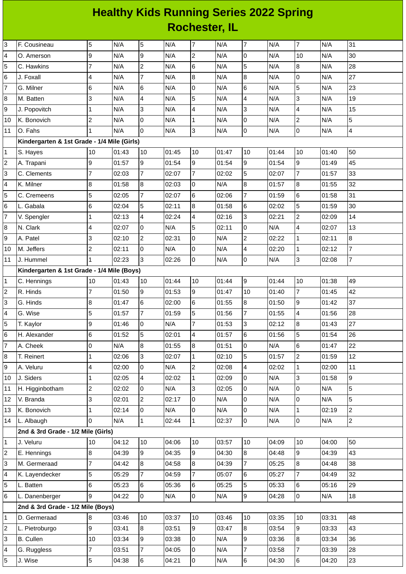## **Healthy Kids Running Series 2022 Spring Rochester, IL**

| 3                         | F. Cousineau                                | 5              | N/A   | 5              | N/A   | $\overline{7}$   | N/A   | $\overline{7}$          | N/A   | 7                       | N/A   | 31             |
|---------------------------|---------------------------------------------|----------------|-------|----------------|-------|------------------|-------|-------------------------|-------|-------------------------|-------|----------------|
| 4                         | O. Amerson                                  | 9              | N/A   | 9              | N/A   | $\overline{c}$   | N/A   | 0                       | N/A   | 10                      | N/A   | 30             |
| 5                         | C. Hawkins                                  | $\overline{7}$ | N/A   | $\overline{2}$ | N/A   | 6                | N/A   | 5                       | N/A   | 8                       | N/A   | 28             |
| 6                         | J. Foxall                                   | 4              | N/A   | $\overline{7}$ | N/A   | 8                | N/A   | 8                       | N/A   | $\overline{0}$          | N/A   | 27             |
| $\overline{7}$            | G. Milner                                   | 6              | N/A   | 6              | N/A   | 0                | N/A   | 6                       | N/A   | 5                       | N/A   | 23             |
| 8                         | M. Batten                                   | 3              | N/A   | 4              | N/A   | 5                | N/A   | $\overline{\mathbf{4}}$ | N/A   | 3                       | N/A   | 19             |
| 9                         | J. Popovitch                                | $\mathbf{1}$   | N/A   | 3              | N/A   | 4                | N/A   | 3                       | N/A   | $\overline{\mathbf{4}}$ | N/A   | 15             |
| 10                        | K. Bonovich                                 | $\overline{c}$ | N/A   | 0              | N/A   | $\mathbf 1$      | N/A   | 0                       | N/A   | $\overline{c}$          | N/A   | 5              |
| 11                        | O. Fahs                                     | 1              | N/A   | $\overline{0}$ | N/A   | 3                | N/A   | $\overline{0}$          | N/A   | $\overline{0}$          | N/A   | $\overline{4}$ |
|                           | Kindergarten & 1st Grade - 1/4 Mile (Girls) |                |       |                |       |                  |       |                         |       |                         |       |                |
| $\mathbf{1}$              | S. Hayes                                    | 10             | 01:43 | 10             | 01:45 | 10               | 01:47 | 10                      | 01:44 | 10                      | 01:40 | 50             |
| $\overline{c}$            | A. Trapani                                  | 9              | 01:57 | $\overline{9}$ | 01:54 | 9                | 01:54 | 9                       | 01:54 | $\overline{9}$          | 01:49 | 45             |
| 3                         | C. Clements                                 | $\overline{7}$ | 02:03 | $\overline{7}$ | 02:07 | $\overline{7}$   | 02:02 | 5                       | 02:07 | $\overline{7}$          | 01:57 | 33             |
| 4                         | K. Milner                                   | 8              | 01:58 | 8              | 02:03 | 0                | N/A   | 8                       | 01:57 | 8                       | 01:55 | 32             |
| 5                         | C. Cremeens                                 | 5              | 02:05 | $\overline{7}$ | 02:07 | 6                | 02:06 | $\overline{7}$          | 01:59 | $6\phantom{a}$          | 01:58 | 31             |
| 6                         | L. Gabala                                   | 6              | 02:04 | 5              | 02:11 | $\overline{8}$   | 01:58 | 6                       | 02:02 | 5                       | 01:59 | 30             |
| $\overline{\mathfrak{c}}$ | V. Spengler                                 | 1              | 02:13 | 4              | 02:24 | 4                | 02:16 | 3                       | 02:21 | $\overline{c}$          | 02:09 | 14             |
| 8                         | N. Clark                                    | 4              | 02:07 | 0              | N/A   | 5                | 02:11 | 0                       | N/A   | 4                       | 02:07 | 13             |
| 9                         | A. Patel                                    | 3              | 02:10 | $\overline{c}$ | 02:31 | $\overline{0}$   | N/A   | $\overline{c}$          | 02:22 | $\mathbf{1}$            | 02:11 | 8              |
| 10                        | M. Jeffers                                  | $\overline{c}$ | 02:11 | 0              | N/A   | 0                | N/A   | $\overline{\mathbf{4}}$ | 02:20 | $\mathbf{1}$            | 02:12 | 7              |
| 11                        | J. Hummel                                   | $\mathbf{1}$   | 02:23 | $\overline{3}$ | 02:26 | $\overline{0}$   | N/A   | 0                       | N/A   | 3                       | 02:08 | $\overline{7}$ |
|                           | Kindergarten & 1st Grade - 1/4 Mile (Boys)  |                |       |                |       |                  |       |                         |       |                         |       |                |
| $\mathbf 1$               | C. Hennings                                 | $10\,$         | 01:43 | 10             | 01:44 | 10               | 01:44 | 9                       | 01:44 | 10                      | 01:38 | 49             |
| $\overline{c}$            | R. Hinds                                    | 7              | 01:50 | 9              | 01:53 | 9                | 01:47 | 10                      | 01:40 | $\overline{7}$          | 01:45 | 42             |
| 3                         | G. Hinds                                    | 8              | 01:47 | 6              | 02:00 | 6                | 01:55 | 8                       | 01:50 | 9                       | 01:42 | 37             |
| 4                         | G. Wise                                     | 5              | 01:57 | $\overline{7}$ | 01:59 | 5                | 01:56 | $\overline{7}$          | 01:55 | 4                       | 01:56 | 28             |
| 5                         | T. Kaylor                                   | 9              | 01:46 | 0              | N/A   | $\overline{7}$   | 01:53 | 3                       | 02:12 | 8                       | 01:43 | 27             |
| 6                         | H. Alexander                                | 6              | 01:52 | 5              | 02:01 | $\overline{4}$   | 01:57 | 6                       | 01:56 | 5                       | 01:54 | 26             |
| $\overline{7}$            | A. Cheek                                    | 0              | N/A   | 8              | 01:55 | $\bf{8}$         | 01:51 | 0                       | N/A   | 6                       | 01:47 | 22             |
| 8                         | T. Reinert                                  | 1              | 02:06 | 3              | 02:07 | $\mathbf{1}$     | 02:10 | 5                       | 01:57 | $\overline{2}$          | 01:59 | 12             |
| 9                         | A. Veluru                                   | 4              | 02:00 | 0              | N/A   | $\overline{2}$   | 02:08 | 4                       | 02:02 | $\mathbf{1}$            | 02:00 | 11             |
| 10                        | J. Siders                                   | 1              | 02:05 | 4              | 02:02 | $\mathbf 1$      | 02:09 | 0                       | N/A   | 3                       | 01:58 | 9              |
| $11\,$                    | H. Higginbotham                             | $\overline{c}$ | 02:02 | $\overline{0}$ | N/A   | 3                | 02:05 | 0                       | N/A   | O                       | N/A   | 5              |
| 12                        | V. Branda                                   | 3              | 02:01 | $\overline{2}$ | 02:17 | 0                | N/A   | 0                       | N/A   | 0                       | N/A   | 5              |
| 13                        | K. Bonovich                                 | 1              | 02:14 | $\overline{0}$ | N/A   | 0                | N/A   | 0                       | N/A   | $\mathbf{1}$            | 02:19 | $\overline{c}$ |
| 14                        | L. Albaugh                                  | 0              | N/A   | $\mathbf{1}$   | 02:44 | $\mathbf{1}$     | 02:37 | $\overline{0}$          | N/A   | 0                       | N/A   | $\overline{c}$ |
|                           | 2nd & 3rd Grade - 1/2 Mile (Girls)          |                |       |                |       |                  |       |                         |       |                         |       |                |
| 1                         | J. Veluru                                   | 10             | 04:12 | 10             | 04:06 | 10               | 03:57 | 10                      | 04:09 | 10                      | 04:00 | 50             |
| $\overline{c}$            | E. Hennings                                 | 8              | 04:39 | $\overline{9}$ | 04:35 | 9                | 04:30 | $\overline{8}$          | 04:48 | 9                       | 04:39 | 43             |
| 3                         | M. Germeraad                                | 7              | 04:42 | 8              | 04:58 | $\boldsymbol{8}$ | 04:39 | $\overline{7}$          | 05:25 | 8                       | 04:48 | 38             |
| 4                         | K. Layendecker                              | 5              | 05:29 | $\overline{7}$ | 04:59 | $\overline{7}$   | 05:07 | 6                       | 05:27 | 7                       | 04:49 | 32             |
| 5                         | L. Batten                                   | 6              | 05:23 | 6              | 05:36 | 6                | 05:25 | 5                       | 05:33 | 6                       | 05:16 | 29             |
| 6                         | L. Danenberger                              | 9              | 04:22 | $\overline{0}$ | N/A   | $\overline{0}$   | N/A   | 9                       | 04:28 | 0                       | N/A   | 18             |
|                           | 2nd & 3rd Grade - 1/2 Mile (Boys)           |                |       |                |       |                  |       |                         |       |                         |       |                |
| $\mathbf 1$               | D. Germeraad                                | 8              | 03:46 | 10             | 03:37 | 10               | 03:46 | 10                      | 03:35 | 10                      | 03:31 | 48             |
| $\overline{c}$            | L. Pietroburgo                              | 9              | 03:41 | $8\,$          | 03:51 | 9                | 03:47 | 8                       | 03:54 | 9                       | 03:33 | 43             |
| 3                         | <b>B.</b> Cullen                            | 10             | 03:34 | 9              | 03:38 | 0                | N/A   | 9                       | 03:36 | 8                       | 03:34 | 36             |
| 4                         | G. Ruggless                                 | $\overline{7}$ | 03:51 | $\overline{7}$ | 04:05 | 0                | N/A   | $\overline{7}$          | 03:58 | $\overline{7}$          | 03:39 | 28             |
| 5                         | J. Wise                                     | 5              | 04:38 | 6              | 04:21 | $\overline{0}$   | N/A   | 6                       | 04:30 | $\,6\,$                 | 04:20 | 23             |
|                           |                                             |                |       |                |       |                  |       |                         |       |                         |       |                |